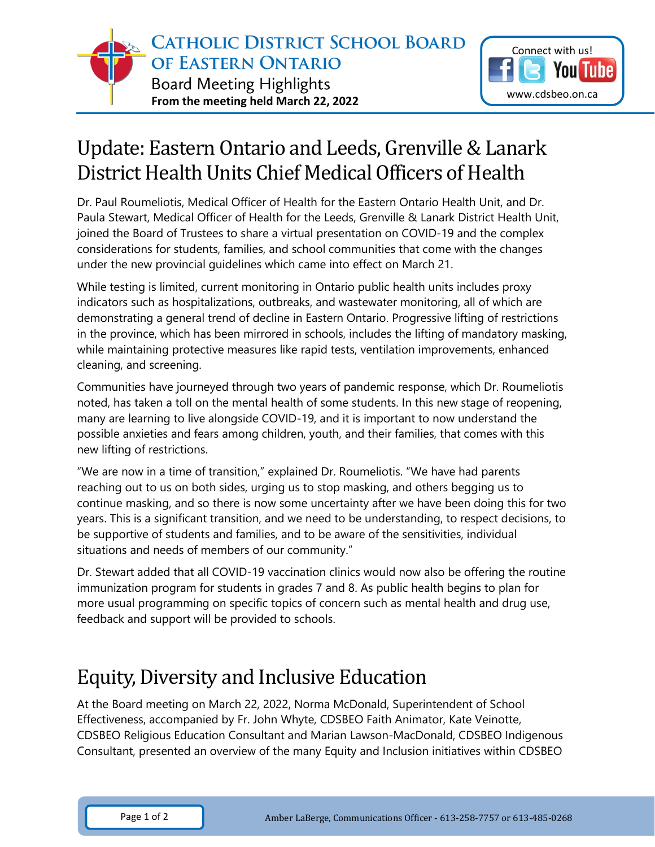

## Update: Eastern Ontario and Leeds, Grenville & Lanark District Health Units Chief Medical Officers of Health

Dr. Paul Roumeliotis, Medical Officer of Health for the Eastern Ontario Health Unit, and Dr. Paula Stewart, Medical Officer of Health for the Leeds, Grenville & Lanark District Health Unit, joined the Board of Trustees to share a virtual presentation on COVID-19 and the complex considerations for students, families, and school communities that come with the changes under the new provincial guidelines which came into effect on March 21.

While testing is limited, current monitoring in Ontario public health units includes proxy indicators such as hospitalizations, outbreaks, and wastewater monitoring, all of which are demonstrating a general trend of decline in Eastern Ontario. Progressive lifting of restrictions in the province, which has been mirrored in schools, includes the lifting of mandatory masking, while maintaining protective measures like rapid tests, ventilation improvements, enhanced cleaning, and screening.

Communities have journeyed through two years of pandemic response, which Dr. Roumeliotis noted, has taken a toll on the mental health of some students. In this new stage of reopening, many are learning to live alongside COVID-19, and it is important to now understand the possible anxieties and fears among children, youth, and their families, that comes with this new lifting of restrictions.

"We are now in a time of transition," explained Dr. Roumeliotis. "We have had parents reaching out to us on both sides, urging us to stop masking, and others begging us to continue masking, and so there is now some uncertainty after we have been doing this for two years. This is a significant transition, and we need to be understanding, to respect decisions, to be supportive of students and families, and to be aware of the sensitivities, individual situations and needs of members of our community."

Dr. Stewart added that all COVID-19 vaccination clinics would now also be offering the routine immunization program for students in grades 7 and 8. As public health begins to plan for more usual programming on specific topics of concern such as mental health and drug use, feedback and support will be provided to schools.

## Equity, Diversity and Inclusive Education

At the Board meeting on March 22, 2022, Norma McDonald, Superintendent of School Effectiveness, accompanied by Fr. John Whyte, CDSBEO Faith Animator, Kate Veinotte, CDSBEO Religious Education Consultant and Marian Lawson-MacDonald, CDSBEO Indigenous Consultant, presented an overview of the many Equity and Inclusion initiatives within CDSBEO